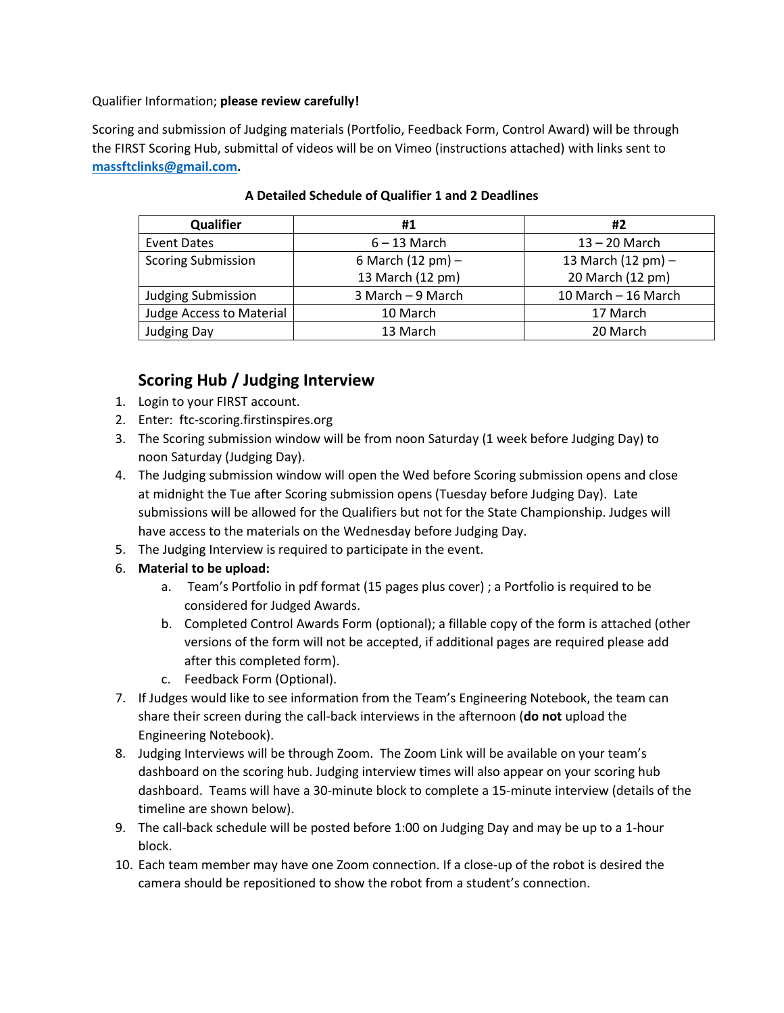Qualifier Information; **please review carefully!**

Scoring and submission of Judging materials (Portfolio, Feedback Form, Control Award) will be through the FIRST Scoring Hub, submittal of videos will be on Vimeo (instructions attached) with links sent to **[massftclinks@gmail.com.](mailto:massftclinks@gmail.com)**

| Qualifier                       | #1                          | #2                           |
|---------------------------------|-----------------------------|------------------------------|
| Event Dates                     | $6 - 13$ March              | $13 - 20$ March              |
| <b>Scoring Submission</b>       | 6 March $(12 \text{ pm})$ – | 13 March $(12 \text{ pm}) -$ |
|                                 | 13 March (12 pm)            | 20 March (12 pm)             |
| <b>Judging Submission</b>       | 3 March - 9 March           | 10 March - 16 March          |
| <b>Judge Access to Material</b> | 10 March                    | 17 March                     |
| <b>Judging Day</b>              | 13 March                    | 20 March                     |

#### **A Detailed Schedule of Qualifier 1 and 2 Deadlines**

# **Scoring Hub / Judging Interview**

- 1. Login to your FIRST account.
- 2. Enter: ftc-scoring.firstinspires.org
- 3. The Scoring submission window will be from noon Saturday (1 week before Judging Day) to noon Saturday (Judging Day).
- 4. The Judging submission window will open the Wed before Scoring submission opens and close at midnight the Tue after Scoring submission opens (Tuesday before Judging Day). Late submissions will be allowed for the Qualifiers but not for the State Championship. Judges will have access to the materials on the Wednesday before Judging Day.
- 5. The Judging Interview is required to participate in the event.
- 6. **Material to be upload:**
	- a. Team's Portfolio in pdf format (15 pages plus cover) ; a Portfolio is required to be considered for Judged Awards.
	- b. Completed Control Awards Form (optional); a fillable copy of the form is attached (other versions of the form will not be accepted, if additional pages are required please add after this completed form).
	- c. Feedback Form (Optional).
- 7. If Judges would like to see information from the Team's Engineering Notebook, the team can share their screen during the call-back interviews in the afternoon (**do not** upload the Engineering Notebook).
- 8. Judging Interviews will be through Zoom. The Zoom Link will be available on your team's dashboard on the scoring hub. Judging interview times will also appear on your scoring hub dashboard. Teams will have a 30-minute block to complete a 15-minute interview (details of the timeline are shown below).
- 9. The call-back schedule will be posted before 1:00 on Judging Day and may be up to a 1-hour block.
- 10. Each team member may have one Zoom connection. If a close-up of the robot is desired the camera should be repositioned to show the robot from a student's connection.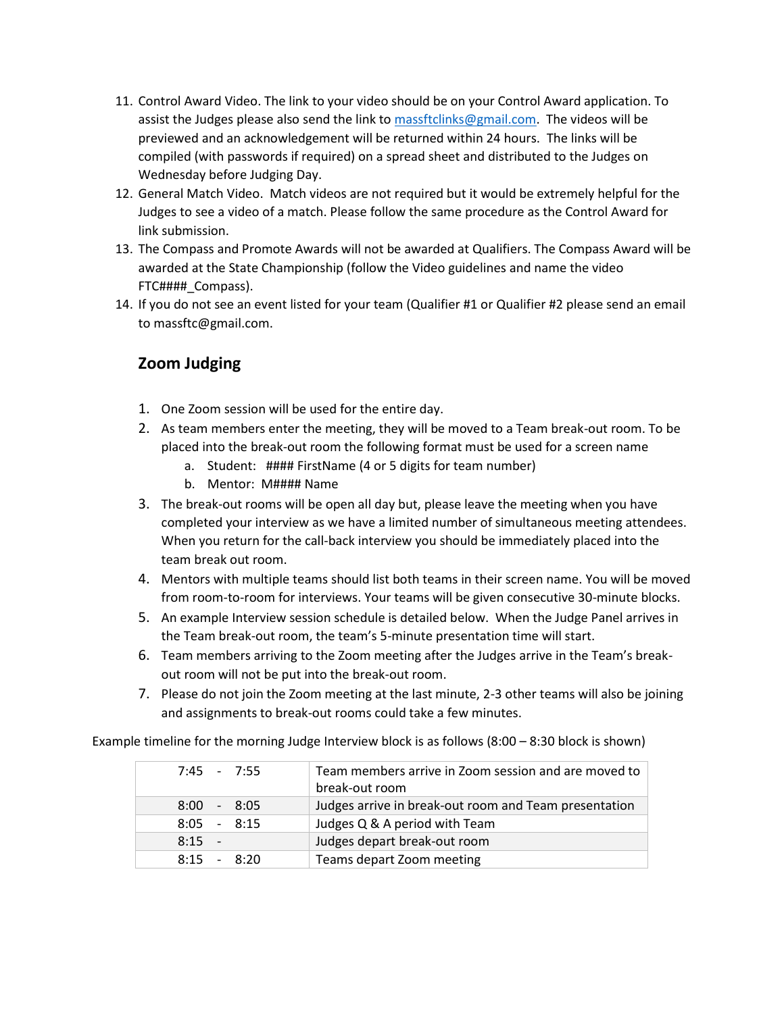- 11. Control Award Video. The link to your video should be on your Control Award application. To assist the Judges please also send the link to [massftclinks@gmail.com.](mailto:massftclinks@gmail.com) The videos will be previewed and an acknowledgement will be returned within 24 hours. The links will be compiled (with passwords if required) on a spread sheet and distributed to the Judges on Wednesday before Judging Day.
- 12. General Match Video. Match videos are not required but it would be extremely helpful for the Judges to see a video of a match. Please follow the same procedure as the Control Award for link submission.
- 13. The Compass and Promote Awards will not be awarded at Qualifiers. The Compass Award will be awarded at the State Championship (follow the Video guidelines and name the video FTC####\_Compass).
- 14. If you do not see an event listed for your team (Qualifier #1 or Qualifier #2 please send an email to massftc@gmail.com.

# **Zoom Judging**

- 1. One Zoom session will be used for the entire day.
- 2. As team members enter the meeting, they will be moved to a Team break-out room. To be placed into the break-out room the following format must be used for a screen name
	- a. Student: #### FirstName (4 or 5 digits for team number)
	- b. Mentor: M#### Name
- 3. The break-out rooms will be open all day but, please leave the meeting when you have completed your interview as we have a limited number of simultaneous meeting attendees. When you return for the call-back interview you should be immediately placed into the team break out room.
- 4. Mentors with multiple teams should list both teams in their screen name. You will be moved from room-to-room for interviews. Your teams will be given consecutive 30-minute blocks.
- 5. An example Interview session schedule is detailed below. When the Judge Panel arrives in the Team break-out room, the team's 5-minute presentation time will start.
- 6. Team members arriving to the Zoom meeting after the Judges arrive in the Team's breakout room will not be put into the break-out room.
- 7. Please do not join the Zoom meeting at the last minute, 2-3 other teams will also be joining and assignments to break-out rooms could take a few minutes.

Example timeline for the morning Judge Interview block is as follows (8:00 – 8:30 block is shown)

| $7:45 - 7:55$ | Team members arrive in Zoom session and are moved to<br>break-out room |
|---------------|------------------------------------------------------------------------|
| $8:00 - 8:05$ | Judges arrive in break-out room and Team presentation                  |
| $8:05 - 8:15$ | Judges Q & A period with Team                                          |
| $8:15 -$      | Judges depart break-out room                                           |
| $8:15 - 8:20$ | Teams depart Zoom meeting                                              |